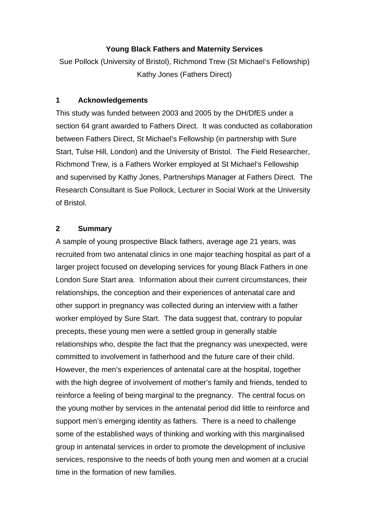## **Young Black Fathers and Maternity Services**

Sue Pollock (University of Bristol), Richmond Trew (St Michael's Fellowship) Kathy Jones (Fathers Direct)

#### **1 Acknowledgements**

This study was funded between 2003 and 2005 by the DH/DfES under a section 64 grant awarded to Fathers Direct. It was conducted as collaboration between Fathers Direct, St Michael's Fellowship (in partnership with Sure Start, Tulse Hill, London) and the University of Bristol. The Field Researcher, Richmond Trew, is a Fathers Worker employed at St Michael's Fellowship and supervised by Kathy Jones, Partnerships Manager at Fathers Direct. The Research Consultant is Sue Pollock, Lecturer in Social Work at the University of Bristol.

### **2 Summary**

A sample of young prospective Black fathers, average age 21 years, was recruited from two antenatal clinics in one major teaching hospital as part of a larger project focused on developing services for young Black Fathers in one London Sure Start area. Information about their current circumstances, their relationships, the conception and their experiences of antenatal care and other support in pregnancy was collected during an interview with a father worker employed by Sure Start. The data suggest that, contrary to popular precepts, these young men were a settled group in generally stable relationships who, despite the fact that the pregnancy was unexpected, were committed to involvement in fatherhood and the future care of their child. However, the men's experiences of antenatal care at the hospital, together with the high degree of involvement of mother's family and friends, tended to reinforce a feeling of being marginal to the pregnancy. The central focus on the young mother by services in the antenatal period did little to reinforce and support men's emerging identity as fathers. There is a need to challenge some of the established ways of thinking and working with this marginalised group in antenatal services in order to promote the development of inclusive services, responsive to the needs of both young men and women at a crucial time in the formation of new families.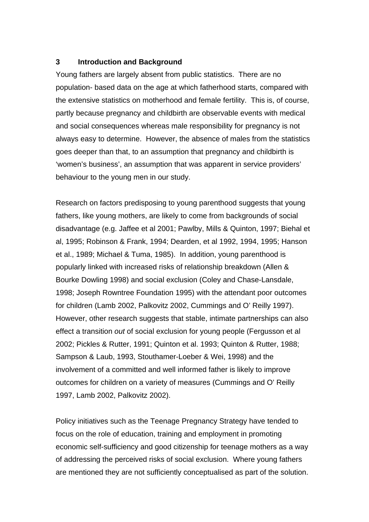#### **3 Introduction and Background**

Young fathers are largely absent from public statistics. There are no population- based data on the age at which fatherhood starts, compared with the extensive statistics on motherhood and female fertility. This is, of course, partly because pregnancy and childbirth are observable events with medical and social consequences whereas male responsibility for pregnancy is not always easy to determine. However, the absence of males from the statistics goes deeper than that, to an assumption that pregnancy and childbirth is 'women's business', an assumption that was apparent in service providers' behaviour to the young men in our study.

Research on factors predisposing to young parenthood suggests that young fathers, like young mothers, are likely to come from backgrounds of social disadvantage (e.g. Jaffee et al 2001; Pawlby, Mills & Quinton, 1997; Biehal et al, 1995; Robinson & Frank, 1994; Dearden, et al 1992, 1994, 1995; Hanson et al., 1989; Michael & Tuma, 1985). In addition, young parenthood is popularly linked with increased risks of relationship breakdown (Allen & Bourke Dowling 1998) and social exclusion (Coley and Chase-Lansdale, 1998; Joseph Rowntree Foundation 1995) with the attendant poor outcomes for children (Lamb 2002, Palkovitz 2002, Cummings and O' Reilly 1997). However, other research suggests that stable, intimate partnerships can also effect a transition *out* of social exclusion for young people (Fergusson et al 2002; Pickles & Rutter, 1991; Quinton et al. 1993; Quinton & Rutter, 1988; Sampson & Laub, 1993, Stouthamer-Loeber & Wei, 1998) and the involvement of a committed and well informed father is likely to improve outcomes for children on a variety of measures (Cummings and O' Reilly 1997, Lamb 2002, Palkovitz 2002).

Policy initiatives such as the Teenage Pregnancy Strategy have tended to focus on the role of education, training and employment in promoting economic self-sufficiency and good citizenship for teenage mothers as a way of addressing the perceived risks of social exclusion. Where young fathers are mentioned they are not sufficiently conceptualised as part of the solution.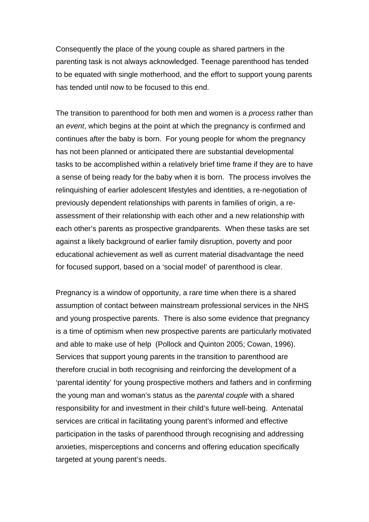Consequently the place of the young couple as shared partners in the parenting task is not always acknowledged. Teenage parenthood has tended to be equated with single motherhood, and the effort to support young parents has tended until now to be focused to this end.

The transition to parenthood for both men and women is a *process* rather than an *event*, which begins at the point at which the pregnancy is confirmed and continues after the baby is born. For young people for whom the pregnancy has not been planned or anticipated there are substantial developmental tasks to be accomplished within a relatively brief time frame if they are to have a sense of being ready for the baby when it is born. The process involves the relinquishing of earlier adolescent lifestyles and identities, a re-negotiation of previously dependent relationships with parents in families of origin, a reassessment of their relationship with each other and a new relationship with each other's parents as prospective grandparents. When these tasks are set against a likely background of earlier family disruption, poverty and poor educational achievement as well as current material disadvantage the need for focused support, based on a 'social model' of parenthood is clear.

Pregnancy is a window of opportunity, a rare time when there is a shared assumption of contact between mainstream professional services in the NHS and young prospective parents. There is also some evidence that pregnancy is a time of optimism when new prospective parents are particularly motivated and able to make use of help (Pollock and Quinton 2005; Cowan, 1996). Services that support young parents in the transition to parenthood are therefore crucial in both recognising and reinforcing the development of a 'parental identity' for young prospective mothers and fathers and in confirming the young man and woman's status as the *parental couple* with a shared responsibility for and investment in their child's future well-being. Antenatal services are critical in facilitating young parent's informed and effective participation in the tasks of parenthood through recognising and addressing anxieties, misperceptions and concerns and offering education specifically targeted at young parent's needs.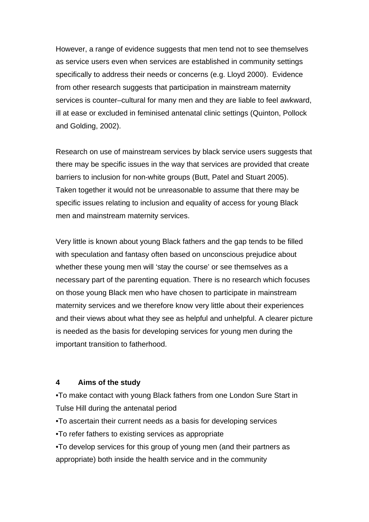However, a range of evidence suggests that men tend not to see themselves as service users even when services are established in community settings specifically to address their needs or concerns (e.g. Lloyd 2000). Evidence from other research suggests that participation in mainstream maternity services is counter–cultural for many men and they are liable to feel awkward, ill at ease or excluded in feminised antenatal clinic settings (Quinton, Pollock and Golding, 2002).

Research on use of mainstream services by black service users suggests that there may be specific issues in the way that services are provided that create barriers to inclusion for non-white groups (Butt, Patel and Stuart 2005). Taken together it would not be unreasonable to assume that there may be specific issues relating to inclusion and equality of access for young Black men and mainstream maternity services.

Very little is known about young Black fathers and the gap tends to be filled with speculation and fantasy often based on unconscious prejudice about whether these young men will 'stay the course' or see themselves as a necessary part of the parenting equation. There is no research which focuses on those young Black men who have chosen to participate in mainstream maternity services and we therefore know very little about their experiences and their views about what they see as helpful and unhelpful. A clearer picture is needed as the basis for developing services for young men during the important transition to fatherhood.

#### **4 Aims of the study**

•To make contact with young Black fathers from one London Sure Start in Tulse Hill during the antenatal period

•To ascertain their current needs as a basis for developing services

•To refer fathers to existing services as appropriate

•To develop services for this group of young men (and their partners as appropriate) both inside the health service and in the community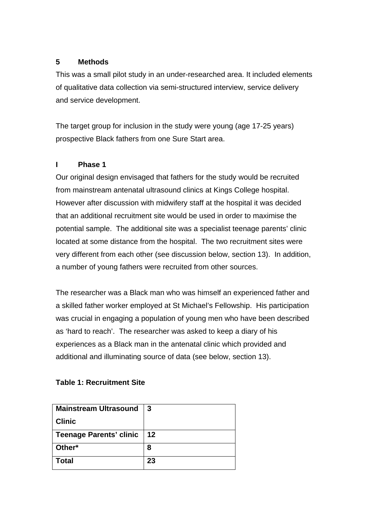## **5 Methods**

This was a small pilot study in an under-researched area. It included elements of qualitative data collection via semi-structured interview, service delivery and service development.

The target group for inclusion in the study were young (age 17-25 years) prospective Black fathers from one Sure Start area.

# **I Phase 1**

Our original design envisaged that fathers for the study would be recruited from mainstream antenatal ultrasound clinics at Kings College hospital. However after discussion with midwifery staff at the hospital it was decided that an additional recruitment site would be used in order to maximise the potential sample. The additional site was a specialist teenage parents' clinic located at some distance from the hospital. The two recruitment sites were very different from each other (see discussion below, section 13). In addition, a number of young fathers were recruited from other sources.

The researcher was a Black man who was himself an experienced father and a skilled father worker employed at St Michael's Fellowship. His participation was crucial in engaging a population of young men who have been described as 'hard to reach'. The researcher was asked to keep a diary of his experiences as a Black man in the antenatal clinic which provided and additional and illuminating source of data (see below, section 13).

# **Table 1: Recruitment Site**

| <b>Mainstream Ultrasound</b>   | l 3        |
|--------------------------------|------------|
| <b>Clinic</b>                  |            |
| <b>Teenage Parents' clinic</b> | $\vert$ 12 |
| Other*                         | 8          |
| <b>Total</b>                   | 23         |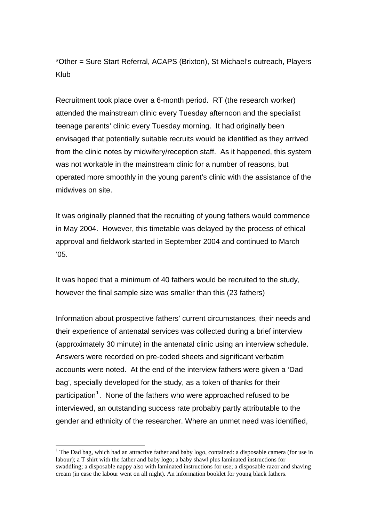\*Other = Sure Start Referral, ACAPS (Brixton), St Michael's outreach, Players Klub

Recruitment took place over a 6-month period. RT (the research worker) attended the mainstream clinic every Tuesday afternoon and the specialist teenage parents' clinic every Tuesday morning. It had originally been envisaged that potentially suitable recruits would be identified as they arrived from the clinic notes by midwifery/reception staff. As it happened, this system was not workable in the mainstream clinic for a number of reasons, but operated more smoothly in the young parent's clinic with the assistance of the midwives on site.

It was originally planned that the recruiting of young fathers would commence in May 2004. However, this timetable was delayed by the process of ethical approval and fieldwork started in September 2004 and continued to March '05.

It was hoped that a minimum of 40 fathers would be recruited to the study, however the final sample size was smaller than this (23 fathers)

Information about prospective fathers' current circumstances, their needs and their experience of antenatal services was collected during a brief interview (approximately 30 minute) in the antenatal clinic using an interview schedule. Answers were recorded on pre-coded sheets and significant verbatim accounts were noted. At the end of the interview fathers were given a 'Dad bag', specially developed for the study, as a token of thanks for their participation<sup>[1](#page-5-0)</sup>. None of the fathers who were approached refused to be interviewed, an outstanding success rate probably partly attributable to the gender and ethnicity of the researcher. Where an unmet need was identified,

1

<span id="page-5-0"></span><sup>&</sup>lt;sup>1</sup> The Dad bag, which had an attractive father and baby logo, contained: a disposable camera (for use in labour); a T shirt with the father and baby logo; a baby shawl plus laminated instructions for swaddling; a disposable nappy also with laminated instructions for use; a disposable razor and shaving cream (in case the labour went on all night). An information booklet for young black fathers.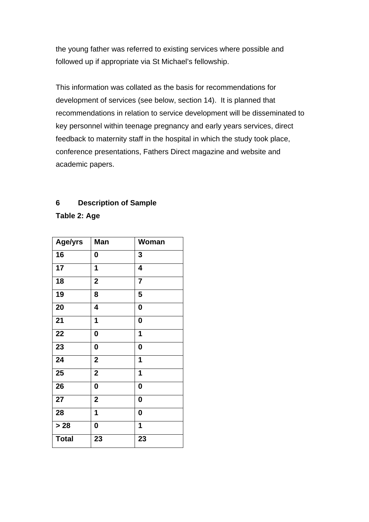the young father was referred to existing services where possible and followed up if appropriate via St Michael's fellowship.

This information was collated as the basis for recommendations for development of services (see below, section 14). It is planned that recommendations in relation to service development will be disseminated to key personnel within teenage pregnancy and early years services, direct feedback to maternity staff in the hospital in which the study took place, conference presentations, Fathers Direct magazine and website and academic papers.

# **6 Description of Sample**

**Table 2: Age** 

| Age/yrs      | <b>Man</b>              | Woman                   |
|--------------|-------------------------|-------------------------|
| 16           | 0                       | 3                       |
| 17           | 1                       | $\overline{\mathbf{4}}$ |
| 18           | $\mathbf{2}$            | $\overline{7}$          |
| 19           | 8                       | 5                       |
| 20           | 4                       | $\mathbf 0$             |
| 21           | 1                       | $\mathbf 0$             |
| 22           | $\mathbf 0$             | 1                       |
| 23           | 0                       | $\mathbf 0$             |
| 24           | $\overline{\mathbf{2}}$ | 1                       |
| 25           | $\boldsymbol{2}$        | 1                       |
| 26           | 0                       | $\bf{0}$                |
| 27           | $\overline{\mathbf{2}}$ | $\mathbf 0$             |
| 28           | 1                       | $\bf{0}$                |
| $>28$        | 0                       | 1                       |
| <b>Total</b> | 23                      | 23                      |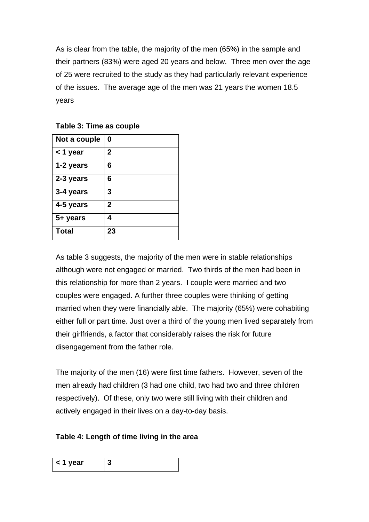As is clear from the table, the majority of the men (65%) in the sample and their partners (83%) were aged 20 years and below. Three men over the age of 25 were recruited to the study as they had particularly relevant experience of the issues. The average age of the men was 21 years the women 18.5 years

| Not a couple | 0           |
|--------------|-------------|
| < 1 year     | $\mathbf 2$ |
| 1-2 years    | 6           |
| 2-3 years    | 6           |
| 3-4 years    | 3           |
| 4-5 years    | 2           |
| 5+ years     | 4           |
| <b>Total</b> | 23          |

**Table 3: Time as couple** 

As table 3 suggests, the majority of the men were in stable relationships although were not engaged or married. Two thirds of the men had been in this relationship for more than 2 years. I couple were married and two couples were engaged. A further three couples were thinking of getting married when they were financially able. The majority (65%) were cohabiting either full or part time. Just over a third of the young men lived separately from their girlfriends, a factor that considerably raises the risk for future disengagement from the father role.

The majority of the men (16) were first time fathers. However, seven of the men already had children (3 had one child, two had two and three children respectively). Of these, only two were still living with their children and actively engaged in their lives on a day-to-day basis.

# **Table 4: Length of time living in the area**

| . .<br>$\leq$ 1 V<br>יו בפ |  |
|----------------------------|--|
|                            |  |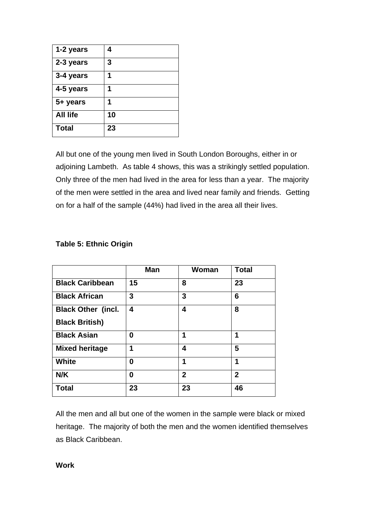| 1-2 years       | 4  |
|-----------------|----|
| 2-3 years       | 3  |
| 3-4 years       |    |
| 4-5 years       |    |
| 5+ years        |    |
| <b>All life</b> | 10 |
| <b>Total</b>    | 23 |

All but one of the young men lived in South London Boroughs, either in or adjoining Lambeth. As table 4 shows, this was a strikingly settled population. Only three of the men had lived in the area for less than a year. The majority of the men were settled in the area and lived near family and friends. Getting on for a half of the sample (44%) had lived in the area all their lives.

|                           | <b>Man</b> | Woman          | <b>Total</b>   |
|---------------------------|------------|----------------|----------------|
| <b>Black Caribbean</b>    | 15         | 8              | 23             |
| <b>Black African</b>      | 3          | 3              | 6              |
| <b>Black Other (incl.</b> | 4          | 4              | 8              |
| <b>Black British)</b>     |            |                |                |
| <b>Black Asian</b>        | 0          | 1              | 1              |
| <b>Mixed heritage</b>     | 1          | 4              | 5              |
| <b>White</b>              | 0          | 1              | 1              |
| N/K                       | 0          | $\overline{2}$ | $\overline{2}$ |
| <b>Total</b>              | 23         | 23             | 46             |

# **Table 5: Ethnic Origin**

All the men and all but one of the women in the sample were black or mixed heritage. The majority of both the men and the women identified themselves as Black Caribbean.

**Work**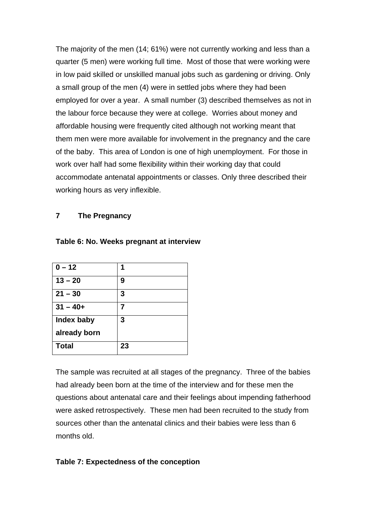The majority of the men (14; 61%) were not currently working and less than a quarter (5 men) were working full time. Most of those that were working were in low paid skilled or unskilled manual jobs such as gardening or driving. Only a small group of the men (4) were in settled jobs where they had been employed for over a year. A small number (3) described themselves as not in the labour force because they were at college. Worries about money and affordable housing were frequently cited although not working meant that them men were more available for involvement in the pregnancy and the care of the baby. This area of London is one of high unemployment. For those in work over half had some flexibility within their working day that could accommodate antenatal appointments or classes. Only three described their working hours as very inflexible.

#### **7 The Pregnancy**

| $0 - 12$     |    |
|--------------|----|
| $13 - 20$    | 9  |
| $21 - 30$    | 3  |
| $31 - 40 +$  |    |
| Index baby   | 3  |
| already born |    |
| <b>Total</b> | 23 |

#### **Table 6: No. Weeks pregnant at interview**

The sample was recruited at all stages of the pregnancy. Three of the babies had already been born at the time of the interview and for these men the questions about antenatal care and their feelings about impending fatherhood were asked retrospectively. These men had been recruited to the study from sources other than the antenatal clinics and their babies were less than 6 months old.

#### **Table 7: Expectedness of the conception**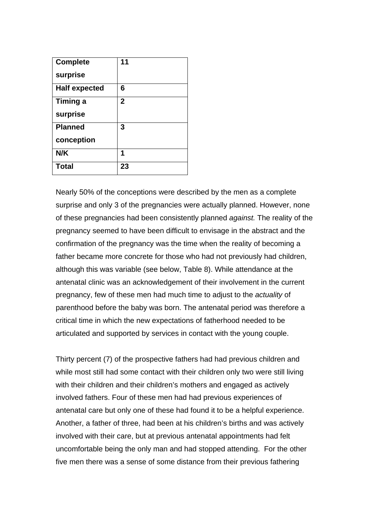| <b>Complete</b>      | 11           |
|----------------------|--------------|
| surprise             |              |
| <b>Half expected</b> | 6            |
| <b>Timing a</b>      | $\mathbf{2}$ |
| surprise             |              |
| <b>Planned</b>       | 3            |
| conception           |              |
| N/K                  | 1            |
| <b>Total</b>         | 23           |

Nearly 50% of the conceptions were described by the men as a complete surprise and only 3 of the pregnancies were actually planned. However, none of these pregnancies had been consistently planned *against.* The reality of the pregnancy seemed to have been difficult to envisage in the abstract and the confirmation of the pregnancy was the time when the reality of becoming a father became more concrete for those who had not previously had children, although this was variable (see below, Table 8). While attendance at the antenatal clinic was an acknowledgement of their involvement in the current pregnancy, few of these men had much time to adjust to the *actuality* of parenthood before the baby was born. The antenatal period was therefore a critical time in which the new expectations of fatherhood needed to be articulated and supported by services in contact with the young couple.

Thirty percent (7) of the prospective fathers had had previous children and while most still had some contact with their children only two were still living with their children and their children's mothers and engaged as actively involved fathers. Four of these men had had previous experiences of antenatal care but only one of these had found it to be a helpful experience. Another, a father of three, had been at his children's births and was actively involved with their care, but at previous antenatal appointments had felt uncomfortable being the only man and had stopped attending. For the other five men there was a sense of some distance from their previous fathering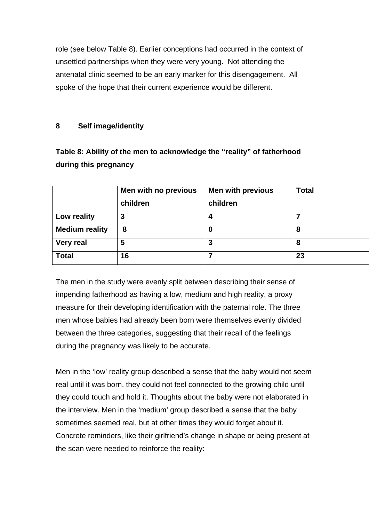role (see below Table 8). Earlier conceptions had occurred in the context of unsettled partnerships when they were very young. Not attending the antenatal clinic seemed to be an early marker for this disengagement. All spoke of the hope that their current experience would be different.

# **8 Self image/identity**

# **Table 8: Ability of the men to acknowledge the "reality" of fatherhood during this pregnancy**

|                       | Men with no previous | <b>Men with previous</b> | <b>Total</b> |
|-----------------------|----------------------|--------------------------|--------------|
|                       | children             | children                 |              |
| Low reality           | 3                    | 4                        |              |
| <b>Medium reality</b> | 8                    | 0                        | 8            |
| <b>Very real</b>      | 5                    | 3                        | 8            |
| <b>Total</b>          | 16                   |                          | 23           |

The men in the study were evenly split between describing their sense of impending fatherhood as having a low, medium and high reality, a proxy measure for their developing identification with the paternal role. The three men whose babies had already been born were themselves evenly divided between the three categories, suggesting that their recall of the feelings during the pregnancy was likely to be accurate.

Men in the 'low' reality group described a sense that the baby would not seem real until it was born, they could not feel connected to the growing child until they could touch and hold it. Thoughts about the baby were not elaborated in the interview. Men in the 'medium' group described a sense that the baby sometimes seemed real, but at other times they would forget about it. Concrete reminders, like their girlfriend's change in shape or being present at the scan were needed to reinforce the reality: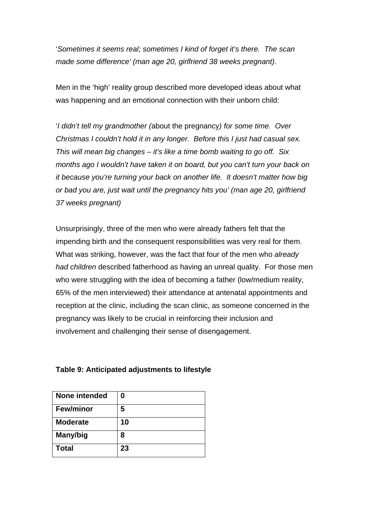'*Sometimes it seems real; sometimes I kind of forget it's there. The scan made some difference' (man age 20, girlfriend 38 weeks pregnant)*.

Men in the 'high' reality group described more developed ideas about what was happening and an emotional connection with their unborn child:

'*I didn't tell my grandmother (*about the pregnancy*) for some time. Over Christmas I couldn't hold it in any longer. Before this I just had casual sex. This will mean big changes – it's like a time bomb waiting to go off. Six months ago I wouldn't have taken it on board, but you can't turn your back on it because you're turning your back on another life. It doesn't matter how big or bad you are, just wait until the pregnancy hits you' (man age 20, girlfriend 37 weeks pregnant)* 

Unsurprisingly, three of the men who were already fathers felt that the impending birth and the consequent responsibilities was very real for them. What was striking, however, was the fact that four of the men who *already had children* described fatherhood as having an unreal quality. For those men who were struggling with the idea of becoming a father (low/medium reality, 65% of the men interviewed) their attendance at antenatal appointments and reception at the clinic, including the scan clinic, as someone concerned in the pregnancy was likely to be crucial in reinforcing their inclusion and involvement and challenging their sense of disengagement.

| None intended    | 0  |
|------------------|----|
| <b>Few/minor</b> | 5  |
| <b>Moderate</b>  | 10 |
| Many/big         | 8  |
| <b>Total</b>     | 23 |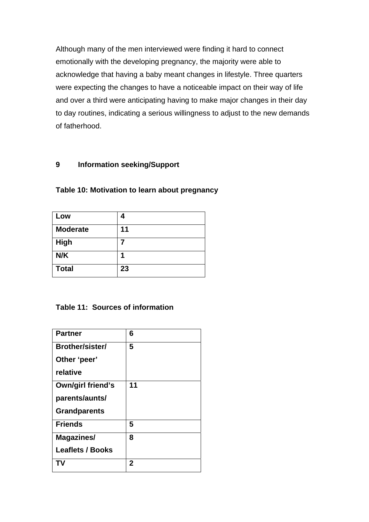Although many of the men interviewed were finding it hard to connect emotionally with the developing pregnancy, the majority were able to acknowledge that having a baby meant changes in lifestyle. Three quarters were expecting the changes to have a noticeable impact on their way of life and over a third were anticipating having to make major changes in their day to day routines, indicating a serious willingness to adjust to the new demands of fatherhood.

# **9 Information seeking/Support**

| Low             | 4  |
|-----------------|----|
| <b>Moderate</b> | 11 |
| <b>High</b>     |    |
| N/K             | 1  |
| <b>Total</b>    | 23 |

**Table 10: Motivation to learn about pregnancy** 

# **Table 11: Sources of information**

| <b>Partner</b>          | 6  |
|-------------------------|----|
| <b>Brother/sister/</b>  | 5  |
| Other 'peer'            |    |
| relative                |    |
| Own/girl friend's       | 11 |
| parents/aunts/          |    |
| <b>Grandparents</b>     |    |
| <b>Friends</b>          | 5  |
| Magazines/              | 8  |
| <b>Leaflets / Books</b> |    |
| ΤV                      | 2  |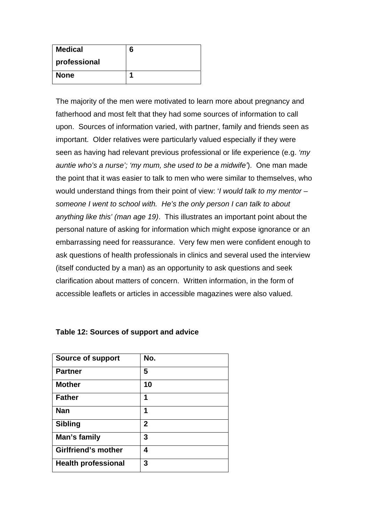| <b>Medical</b> | 6 |
|----------------|---|
| professional   |   |
| <b>None</b>    |   |

The majority of the men were motivated to learn more about pregnancy and fatherhood and most felt that they had some sources of information to call upon. Sources of information varied, with partner, family and friends seen as important. Older relatives were particularly valued especially if they were seen as having had relevant previous professional or life experience (e.g. *'my auntie who's a nurse'; 'my mum, she used to be a midwife'*). One man made the point that it was easier to talk to men who were similar to themselves, who would understand things from their point of view: '*I would talk to my mentor – someone I went to school with. He's the only person I can talk to about anything like this' (man age 19)*. This illustrates an important point about the personal nature of asking for information which might expose ignorance or an embarrassing need for reassurance. Very few men were confident enough to ask questions of health professionals in clinics and several used the interview (itself conducted by a man) as an opportunity to ask questions and seek clarification about matters of concern. Written information, in the form of accessible leaflets or articles in accessible magazines were also valued.

| <b>Source of support</b>   | No.          |
|----------------------------|--------------|
|                            |              |
| <b>Partner</b>             | 5            |
| <b>Mother</b>              | 10           |
| <b>Father</b>              | 1            |
| Nan                        | 1            |
| <b>Sibling</b>             | $\mathbf{2}$ |
| Man's family               | 3            |
| <b>Girlfriend's mother</b> | 4            |
| <b>Health professional</b> | 3            |

#### **Table 12: Sources of support and advice**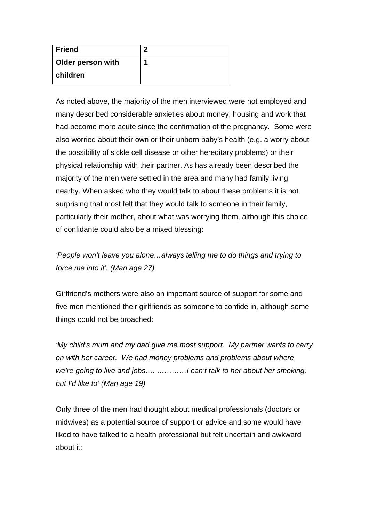| Friend                   | ŋ |
|--------------------------|---|
| <b>Older person with</b> | п |
| <b>children</b>          |   |

As noted above, the majority of the men interviewed were not employed and many described considerable anxieties about money, housing and work that had become more acute since the confirmation of the pregnancy. Some were also worried about their own or their unborn baby's health (e.g. a worry about the possibility of sickle cell disease or other hereditary problems) or their physical relationship with their partner. As has already been described the majority of the men were settled in the area and many had family living nearby. When asked who they would talk to about these problems it is not surprising that most felt that they would talk to someone in their family, particularly their mother, about what was worrying them, although this choice of confidante could also be a mixed blessing:

*'People won't leave you alone…always telling me to do things and trying to force me into it'. (Man age 27)* 

Girlfriend's mothers were also an important source of support for some and five men mentioned their girlfriends as someone to confide in, although some things could not be broached:

*'My child's mum and my dad give me most support. My partner wants to carry on with her career. We had money problems and problems about where we're going to live and jobs…. …………I can't talk to her about her smoking, but I'd like to' (Man age 19)* 

Only three of the men had thought about medical professionals (doctors or midwives) as a potential source of support or advice and some would have liked to have talked to a health professional but felt uncertain and awkward about it: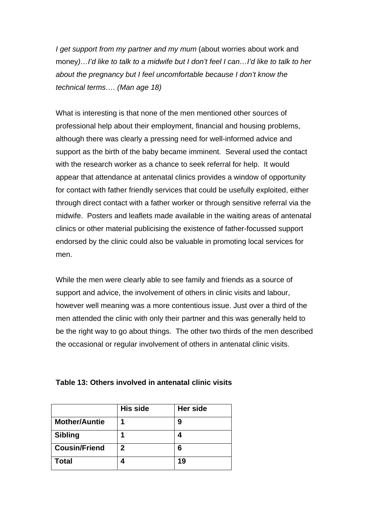*I get support from my partner and my mum* (about worries about work and money*)…I'd like to talk to a midwife but I don't feel I can…I'd like to talk to her about the pregnancy but I feel uncomfortable because I don't know the technical terms…. (Man age 18)* 

What is interesting is that none of the men mentioned other sources of professional help about their employment, financial and housing problems, although there was clearly a pressing need for well-informed advice and support as the birth of the baby became imminent. Several used the contact with the research worker as a chance to seek referral for help. It would appear that attendance at antenatal clinics provides a window of opportunity for contact with father friendly services that could be usefully exploited, either through direct contact with a father worker or through sensitive referral via the midwife. Posters and leaflets made available in the waiting areas of antenatal clinics or other material publicising the existence of father-focussed support endorsed by the clinic could also be valuable in promoting local services for men.

While the men were clearly able to see family and friends as a source of support and advice, the involvement of others in clinic visits and labour, however well meaning was a more contentious issue. Just over a third of the men attended the clinic with only their partner and this was generally held to be the right way to go about things. The other two thirds of the men described the occasional or regular involvement of others in antenatal clinic visits.

|                      | <b>His side</b> | Her side |
|----------------------|-----------------|----------|
| <b>Mother/Auntie</b> |                 | 9        |
| <b>Sibling</b>       |                 |          |
| <b>Cousin/Friend</b> | 2               | 6        |
| <b>Total</b>         |                 | 19       |

#### **Table 13: Others involved in antenatal clinic visits**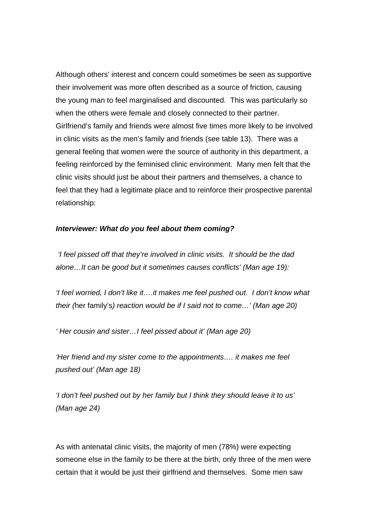Although others' interest and concern could sometimes be seen as supportive their involvement was more often described as a source of friction, causing the young man to feel marginalised and discounted. This was particularly so when the others were female and closely connected to their partner. Girlfriend's family and friends were almost five times more likely to be involved in clinic visits as the men's family and friends (see table 13). There was a general feeling that women were the source of authority in this department, a feeling reinforced by the feminised clinic environment. Many men felt that the clinic visits should just be about their partners and themselves, a chance to feel that they had a legitimate place and to reinforce their prospective parental relationship:

#### *Interviewer: What do you feel about them coming?*

 *'I feel pissed off that they're involved in clinic visits. It should be the dad alone…It can be good but it sometimes causes conflicts' (Man age 19):* 

*'I feel worried, I don't like it….it makes me feel pushed out. I don't know what their (*her family's*) reaction would be if I said not to come…' (Man age 20)* 

*' Her cousin and sister…I feel pissed about it' (Man age 20)* 

*'Her friend and my sister come to the appointments…. it makes me feel pushed out' (Man age 18)* 

*'I don't feel pushed out by her family but I think they should leave it to us' (Man age 24)* 

As with antenatal clinic visits, the majority of men (78%) were expecting someone else in the family to be there at the birth, only three of the men were certain that it would be just their girlfriend and themselves. Some men saw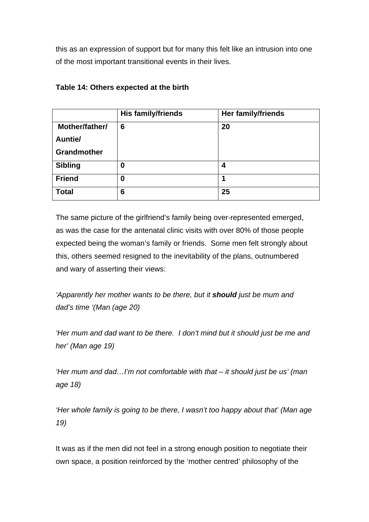this as an expression of support but for many this felt like an intrusion into one of the most important transitional events in their lives.

|                | His family/friends | <b>Her family/friends</b> |
|----------------|--------------------|---------------------------|
| Mother/father/ | 6                  | 20                        |
| Auntie/        |                    |                           |
| Grandmother    |                    |                           |
| <b>Sibling</b> | 0                  | 4                         |
| <b>Friend</b>  | 0                  | 1                         |
| <b>Total</b>   | 6                  | 25                        |

# **Table 14: Others expected at the birth**

The same picture of the girlfriend's family being over-represented emerged, as was the case for the antenatal clinic visits with over 80% of those people expected being the woman's family or friends. Some men felt strongly about this, others seemed resigned to the inevitability of the plans, outnumbered and wary of asserting their views:

*'Apparently her mother wants to be there, but it should just be mum and dad's time '(Man (age 20)* 

*'Her mum and dad want to be there. I don't mind but it should just be me and her' (Man age 19)* 

*'Her mum and dad…I'm not comfortable with that – it should just be us' (man age 18)* 

*'Her whole family is going to be there, I wasn't too happy about that' (Man age 19)* 

It was as if the men did not feel in a strong enough position to negotiate their own space, a position reinforced by the 'mother centred' philosophy of the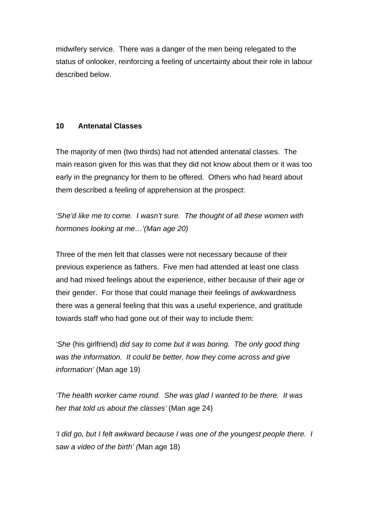midwifery service. There was a danger of the men being relegated to the status of onlooker, reinforcing a feeling of uncertainty about their role in labour described below.

# **10 Antenatal Classes**

The majority of men (two thirds) had not attended antenatal classes. The main reason given for this was that they did not know about them or it was too early in the pregnancy for them to be offered. Others who had heard about them described a feeling of apprehension at the prospect:

*'She'd like me to come. I wasn't sure. The thought of all these women with hormones looking at me…'(Man age 20)* 

Three of the men felt that classes were not necessary because of their previous experience as fathers. Five men had attended at least one class and had mixed feelings about the experience, either because of their age or their gender. For those that could manage their feelings of awkwardness there was a general feeling that this was a useful experience, and gratitude towards staff who had gone out of their way to include them:

*'She* (his girlfriend) *did say to come but it was boring. The only good thing was the information. It could be better, how they come across and give information'* (Man age 19)

*'The health worker came round. She was glad I wanted to be there. It was her that told us about the classes'* (Man age 24)

*'I did go, but I felt awkward because I was one of the youngest people there. I saw a video of the birth' (*Man age 18)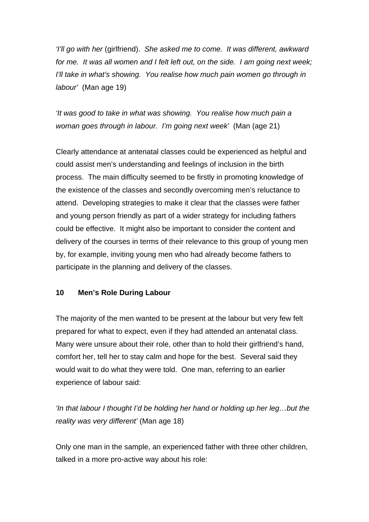*'I'll go with her* (girlfriend). *She asked me to come. It was different, awkward for me. It was all women and I felt left out, on the side. I am going next week; I'll take in what's showing. You realise how much pain women go through in labour'* (Man age 19)

*'It was good to take in what was showing. You realise how much pain a woman goes through in labour. I'm going next week'* (Man (age 21)

Clearly attendance at antenatal classes could be experienced as helpful and could assist men's understanding and feelings of inclusion in the birth process. The main difficulty seemed to be firstly in promoting knowledge of the existence of the classes and secondly overcoming men's reluctance to attend. Developing strategies to make it clear that the classes were father and young person friendly as part of a wider strategy for including fathers could be effective. It might also be important to consider the content and delivery of the courses in terms of their relevance to this group of young men by, for example, inviting young men who had already become fathers to participate in the planning and delivery of the classes.

# **10 Men's Role During Labour**

The majority of the men wanted to be present at the labour but very few felt prepared for what to expect, even if they had attended an antenatal class. Many were unsure about their role, other than to hold their girlfriend's hand, comfort her, tell her to stay calm and hope for the best. Several said they would wait to do what they were told. One man, referring to an earlier experience of labour said:

*'In that labour I thought I'd be holding her hand or holding up her leg…but the reality was very different'* (Man age 18)

Only one man in the sample, an experienced father with three other children, talked in a more pro-active way about his role: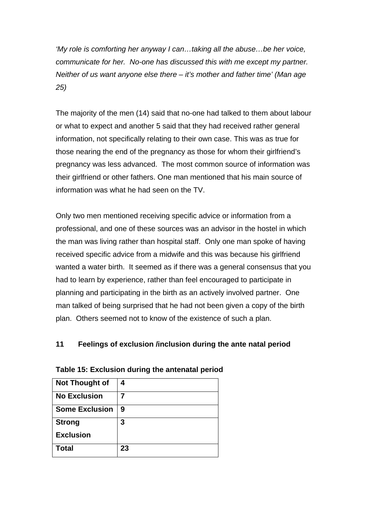*'My role is comforting her anyway I can…taking all the abuse…be her voice, communicate for her. No-one has discussed this with me except my partner. Neither of us want anyone else there – it's mother and father time' (Man age 25)* 

The majority of the men (14) said that no-one had talked to them about labour or what to expect and another 5 said that they had received rather general information, not specifically relating to their own case. This was as true for those nearing the end of the pregnancy as those for whom their girlfriend's pregnancy was less advanced. The most common source of information was their girlfriend or other fathers. One man mentioned that his main source of information was what he had seen on the TV.

Only two men mentioned receiving specific advice or information from a professional, and one of these sources was an advisor in the hostel in which the man was living rather than hospital staff. Only one man spoke of having received specific advice from a midwife and this was because his girlfriend wanted a water birth. It seemed as if there was a general consensus that you had to learn by experience, rather than feel encouraged to participate in planning and participating in the birth as an actively involved partner. One man talked of being surprised that he had not been given a copy of the birth plan. Others seemed not to know of the existence of such a plan.

# **11 Feelings of exclusion /inclusion during the ante natal period**

| <b>Not Thought of</b> | 4  |
|-----------------------|----|
| <b>No Exclusion</b>   |    |
| <b>Some Exclusion</b> | 9  |
| <b>Strong</b>         | 3  |
| <b>Exclusion</b>      |    |
| Total                 | 23 |

#### **Table 15: Exclusion during the antenatal period**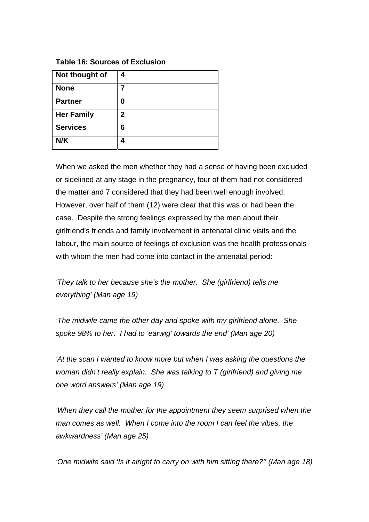**Table 16: Sources of Exclusion** 

| Not thought of    | 4 |
|-------------------|---|
| <b>None</b>       |   |
| <b>Partner</b>    | 0 |
| <b>Her Family</b> | 2 |
| <b>Services</b>   | 6 |
| N/K               |   |

When we asked the men whether they had a sense of having been excluded or sidelined at any stage in the pregnancy, four of them had not considered the matter and 7 considered that they had been well enough involved. However, over half of them (12) were clear that this was or had been the case. Despite the strong feelings expressed by the men about their girlfriend's friends and family involvement in antenatal clinic visits and the labour, the main source of feelings of exclusion was the health professionals with whom the men had come into contact in the antenatal period:

*'They talk to her because she's the mother. She (girlfriend) tells me everything' (Man age 19)* 

*'The midwife came the other day and spoke with my girlfriend alone. She spoke 98% to her. I had to 'earwig' towards the end' (Man age 20)* 

*'At the scan I wanted to know more but when I was asking the questions the woman didn't really explain. She was talking to T (girlfriend) and giving me one word answers' (Man age 19)* 

*'When they call the mother for the appointment they seem surprised when the man comes as well. When I come into the room I can feel the vibes, the awkwardness' (Man age 25)* 

*'One midwife said 'Is it alright to carry on with him sitting there?'' (Man age 18)*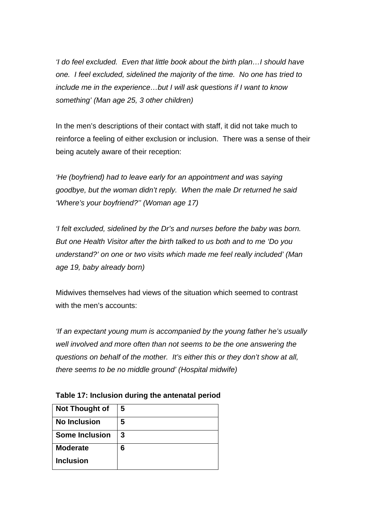*'I do feel excluded. Even that little book about the birth plan…I should have one. I feel excluded, sidelined the majority of the time. No one has tried to include me in the experience…but I will ask questions if I want to know something' (Man age 25, 3 other children)* 

In the men's descriptions of their contact with staff, it did not take much to reinforce a feeling of either exclusion or inclusion. There was a sense of their being acutely aware of their reception:

*'He (boyfriend) had to leave early for an appointment and was saying goodbye, but the woman didn't reply. When the male Dr returned he said 'Where's your boyfriend?'' (Woman age 17)* 

*'I felt excluded, sidelined by the Dr's and nurses before the baby was born. But one Health Visitor after the birth talked to us both and to me 'Do you understand?' on one or two visits which made me feel really included' (Man age 19, baby already born)* 

Midwives themselves had views of the situation which seemed to contrast with the men's accounts:

*'If an expectant young mum is accompanied by the young father he's usually well involved and more often than not seems to be the one answering the questions on behalf of the mother. It's either this or they don't show at all, there seems to be no middle ground' (Hospital midwife)* 

| <b>Not Thought of</b> | 5 |
|-----------------------|---|
| <b>No Inclusion</b>   | 5 |
| <b>Some Inclusion</b> | 3 |
| <b>Moderate</b>       | 6 |
| <b>Inclusion</b>      |   |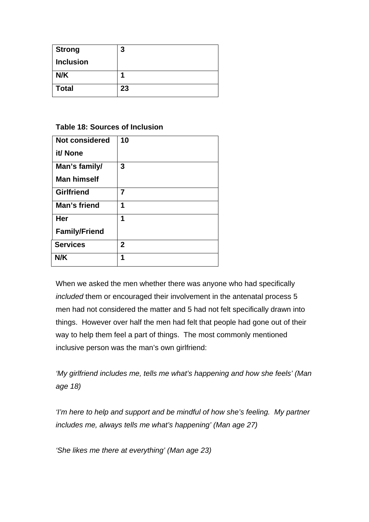| <b>Strong</b>    | 3  |
|------------------|----|
| <b>Inclusion</b> |    |
| N/K              |    |
| <b>Total</b>     | 23 |

## **Table 18: Sources of Inclusion**

| <b>Not considered</b> | 10           |
|-----------------------|--------------|
| it/ None              |              |
| Man's family/         | 3            |
| <b>Man himself</b>    |              |
| <b>Girlfriend</b>     | 7            |
| Man's friend          | 1            |
| Her                   | 1            |
| <b>Family/Friend</b>  |              |
| <b>Services</b>       | $\mathbf{2}$ |
| N/K                   | 1            |

When we asked the men whether there was anyone who had specifically *included* them or encouraged their involvement in the antenatal process 5 men had not considered the matter and 5 had not felt specifically drawn into things. However over half the men had felt that people had gone out of their way to help them feel a part of things. The most commonly mentioned inclusive person was the man's own girlfriend:

*'My girlfriend includes me, tells me what's happening and how she feels' (Man age 18)* 

*'I'm here to help and support and be mindful of how she's feeling. My partner includes me, always tells me what's happening' (Man age 27)* 

*'She likes me there at everything' (Man age 23)*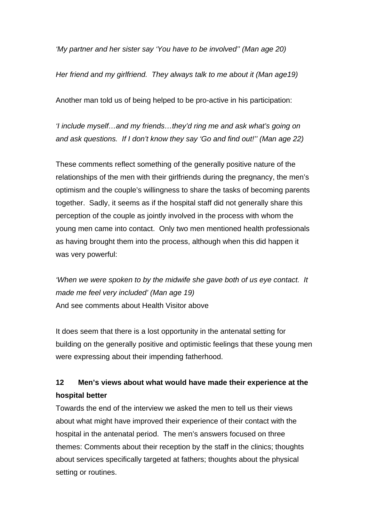*'My partner and her sister say 'You have to be involved'' (Man age 20)* 

*Her friend and my girlfriend. They always talk to me about it (Man age19)* 

Another man told us of being helped to be pro-active in his participation:

*'I include myself…and my friends…they'd ring me and ask what's going on and ask questions. If I don't know they say 'Go and find out!'' (Man age 22)* 

These comments reflect something of the generally positive nature of the relationships of the men with their girlfriends during the pregnancy, the men's optimism and the couple's willingness to share the tasks of becoming parents together. Sadly, it seems as if the hospital staff did not generally share this perception of the couple as jointly involved in the process with whom the young men came into contact. Only two men mentioned health professionals as having brought them into the process, although when this did happen it was very powerful:

*'When we were spoken to by the midwife she gave both of us eye contact. It made me feel very included' (Man age 19)*  And see comments about Health Visitor above

It does seem that there is a lost opportunity in the antenatal setting for building on the generally positive and optimistic feelings that these young men were expressing about their impending fatherhood.

# **12 Men's views about what would have made their experience at the hospital better**

Towards the end of the interview we asked the men to tell us their views about what might have improved their experience of their contact with the hospital in the antenatal period. The men's answers focused on three themes: Comments about their reception by the staff in the clinics; thoughts about services specifically targeted at fathers; thoughts about the physical setting or routines.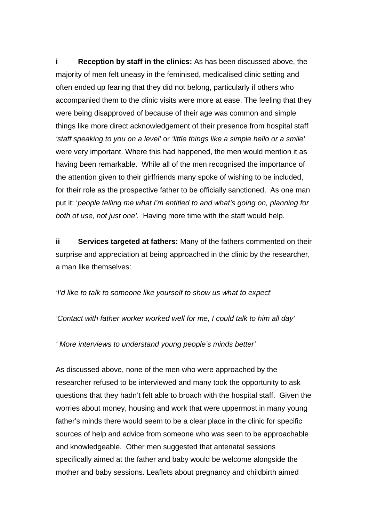**i Reception by staff in the clinics:** As has been discussed above, the majority of men felt uneasy in the feminised, medicalised clinic setting and often ended up fearing that they did not belong, particularly if others who accompanied them to the clinic visits were more at ease. The feeling that they were being disapproved of because of their age was common and simple things like more direct acknowledgement of their presence from hospital staff *'staff speaking to you on a level'* or *'little things like a simple hello or a smile'*  were very important. Where this had happened, the men would mention it as having been remarkable. While all of the men recognised the importance of the attention given to their girlfriends many spoke of wishing to be included, for their role as the prospective father to be officially sanctioned. As one man put it: '*people telling me what I'm entitled to and what's going on, planning for both of use, not just one'*. Having more time with the staff would help.

**ii Services targeted at fathers:** Many of the fathers commented on their surprise and appreciation at being approached in the clinic by the researcher, a man like themselves:

*'I'd like to talk to someone like yourself to show us what to expect*'

*'Contact with father worker worked well for me, I could talk to him all day'* 

*' More interviews to understand young people's minds better'* 

As discussed above, none of the men who were approached by the researcher refused to be interviewed and many took the opportunity to ask questions that they hadn't felt able to broach with the hospital staff. Given the worries about money, housing and work that were uppermost in many young father's minds there would seem to be a clear place in the clinic for specific sources of help and advice from someone who was seen to be approachable and knowledgeable. Other men suggested that antenatal sessions specifically aimed at the father and baby would be welcome alongside the mother and baby sessions. Leaflets about pregnancy and childbirth aimed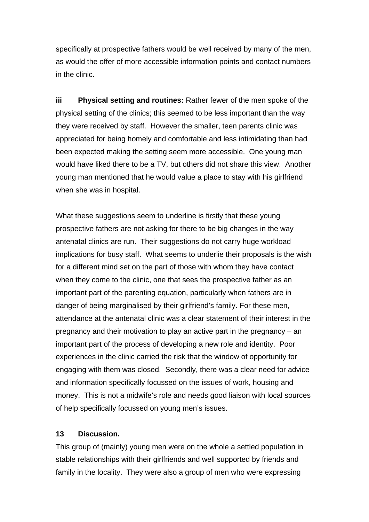specifically at prospective fathers would be well received by many of the men, as would the offer of more accessible information points and contact numbers in the clinic.

**iii Physical setting and routines:** Rather fewer of the men spoke of the physical setting of the clinics; this seemed to be less important than the way they were received by staff. However the smaller, teen parents clinic was appreciated for being homely and comfortable and less intimidating than had been expected making the setting seem more accessible. One young man would have liked there to be a TV, but others did not share this view. Another young man mentioned that he would value a place to stay with his girlfriend when she was in hospital.

What these suggestions seem to underline is firstly that these young prospective fathers are not asking for there to be big changes in the way antenatal clinics are run. Their suggestions do not carry huge workload implications for busy staff. What seems to underlie their proposals is the wish for a different mind set on the part of those with whom they have contact when they come to the clinic, one that sees the prospective father as an important part of the parenting equation, particularly when fathers are in danger of being marginalised by their girlfriend's family. For these men, attendance at the antenatal clinic was a clear statement of their interest in the pregnancy and their motivation to play an active part in the pregnancy – an important part of the process of developing a new role and identity. Poor experiences in the clinic carried the risk that the window of opportunity for engaging with them was closed. Secondly, there was a clear need for advice and information specifically focussed on the issues of work, housing and money. This is not a midwife's role and needs good liaison with local sources of help specifically focussed on young men's issues.

#### **13 Discussion.**

This group of (mainly) young men were on the whole a settled population in stable relationships with their girlfriends and well supported by friends and family in the locality. They were also a group of men who were expressing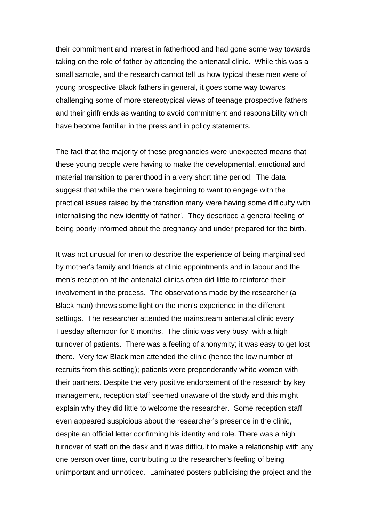their commitment and interest in fatherhood and had gone some way towards taking on the role of father by attending the antenatal clinic. While this was a small sample, and the research cannot tell us how typical these men were of young prospective Black fathers in general, it goes some way towards challenging some of more stereotypical views of teenage prospective fathers and their girlfriends as wanting to avoid commitment and responsibility which have become familiar in the press and in policy statements.

The fact that the majority of these pregnancies were unexpected means that these young people were having to make the developmental, emotional and material transition to parenthood in a very short time period. The data suggest that while the men were beginning to want to engage with the practical issues raised by the transition many were having some difficulty with internalising the new identity of 'father'. They described a general feeling of being poorly informed about the pregnancy and under prepared for the birth.

It was not unusual for men to describe the experience of being marginalised by mother's family and friends at clinic appointments and in labour and the men's reception at the antenatal clinics often did little to reinforce their involvement in the process. The observations made by the researcher (a Black man) throws some light on the men's experience in the different settings. The researcher attended the mainstream antenatal clinic every Tuesday afternoon for 6 months. The clinic was very busy, with a high turnover of patients. There was a feeling of anonymity; it was easy to get lost there. Very few Black men attended the clinic (hence the low number of recruits from this setting); patients were preponderantly white women with their partners. Despite the very positive endorsement of the research by key management, reception staff seemed unaware of the study and this might explain why they did little to welcome the researcher. Some reception staff even appeared suspicious about the researcher's presence in the clinic, despite an official letter confirming his identity and role. There was a high turnover of staff on the desk and it was difficult to make a relationship with any one person over time, contributing to the researcher's feeling of being unimportant and unnoticed. Laminated posters publicising the project and the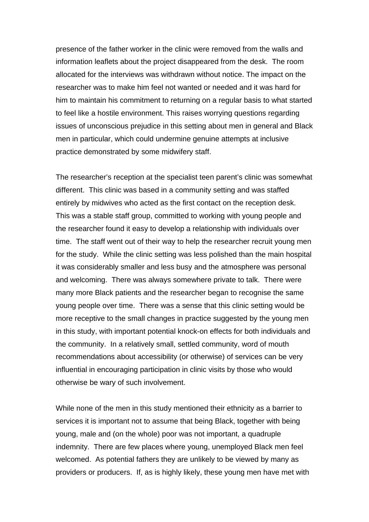presence of the father worker in the clinic were removed from the walls and information leaflets about the project disappeared from the desk. The room allocated for the interviews was withdrawn without notice. The impact on the researcher was to make him feel not wanted or needed and it was hard for him to maintain his commitment to returning on a regular basis to what started to feel like a hostile environment. This raises worrying questions regarding issues of unconscious prejudice in this setting about men in general and Black men in particular, which could undermine genuine attempts at inclusive practice demonstrated by some midwifery staff.

The researcher's reception at the specialist teen parent's clinic was somewhat different. This clinic was based in a community setting and was staffed entirely by midwives who acted as the first contact on the reception desk. This was a stable staff group, committed to working with young people and the researcher found it easy to develop a relationship with individuals over time. The staff went out of their way to help the researcher recruit young men for the study. While the clinic setting was less polished than the main hospital it was considerably smaller and less busy and the atmosphere was personal and welcoming. There was always somewhere private to talk. There were many more Black patients and the researcher began to recognise the same young people over time. There was a sense that this clinic setting would be more receptive to the small changes in practice suggested by the young men in this study, with important potential knock-on effects for both individuals and the community. In a relatively small, settled community, word of mouth recommendations about accessibility (or otherwise) of services can be very influential in encouraging participation in clinic visits by those who would otherwise be wary of such involvement.

While none of the men in this study mentioned their ethnicity as a barrier to services it is important not to assume that being Black, together with being young, male and (on the whole) poor was not important, a quadruple indemnity. There are few places where young, unemployed Black men feel welcomed. As potential fathers they are unlikely to be viewed by many as providers or producers. If, as is highly likely, these young men have met with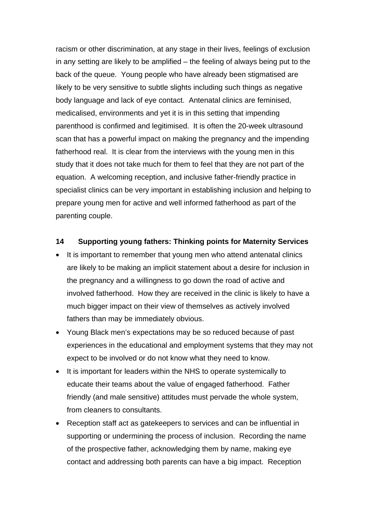racism or other discrimination, at any stage in their lives, feelings of exclusion in any setting are likely to be amplified – the feeling of always being put to the back of the queue. Young people who have already been stigmatised are likely to be very sensitive to subtle slights including such things as negative body language and lack of eye contact. Antenatal clinics are feminised, medicalised, environments and yet it is in this setting that impending parenthood is confirmed and legitimised. It is often the 20-week ultrasound scan that has a powerful impact on making the pregnancy and the impending fatherhood real. It is clear from the interviews with the young men in this study that it does not take much for them to feel that they are not part of the equation. A welcoming reception, and inclusive father-friendly practice in specialist clinics can be very important in establishing inclusion and helping to prepare young men for active and well informed fatherhood as part of the parenting couple.

### **14 Supporting young fathers: Thinking points for Maternity Services**

- It is important to remember that young men who attend antenatal clinics are likely to be making an implicit statement about a desire for inclusion in the pregnancy and a willingness to go down the road of active and involved fatherhood. How they are received in the clinic is likely to have a much bigger impact on their view of themselves as actively involved fathers than may be immediately obvious.
- Young Black men's expectations may be so reduced because of past experiences in the educational and employment systems that they may not expect to be involved or do not know what they need to know.
- It is important for leaders within the NHS to operate systemically to educate their teams about the value of engaged fatherhood. Father friendly (and male sensitive) attitudes must pervade the whole system, from cleaners to consultants.
- Reception staff act as gatekeepers to services and can be influential in supporting or undermining the process of inclusion. Recording the name of the prospective father, acknowledging them by name, making eye contact and addressing both parents can have a big impact. Reception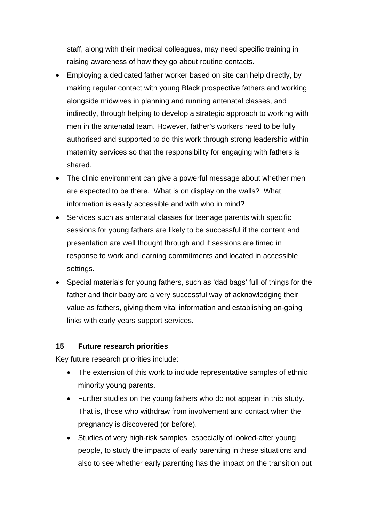staff, along with their medical colleagues, may need specific training in raising awareness of how they go about routine contacts.

- Employing a dedicated father worker based on site can help directly, by making regular contact with young Black prospective fathers and working alongside midwives in planning and running antenatal classes, and indirectly, through helping to develop a strategic approach to working with men in the antenatal team. However, father's workers need to be fully authorised and supported to do this work through strong leadership within maternity services so that the responsibility for engaging with fathers is shared.
- The clinic environment can give a powerful message about whether men are expected to be there. What is on display on the walls? What information is easily accessible and with who in mind?
- Services such as antenatal classes for teenage parents with specific sessions for young fathers are likely to be successful if the content and presentation are well thought through and if sessions are timed in response to work and learning commitments and located in accessible settings.
- Special materials for young fathers, such as 'dad bags' full of things for the father and their baby are a very successful way of acknowledging their value as fathers, giving them vital information and establishing on-going links with early years support services.

#### **15 Future research priorities**

Key future research priorities include:

- The extension of this work to include representative samples of ethnic minority young parents.
- Further studies on the young fathers who do not appear in this study. That is, those who withdraw from involvement and contact when the pregnancy is discovered (or before).
- Studies of very high-risk samples, especially of looked-after young people, to study the impacts of early parenting in these situations and also to see whether early parenting has the impact on the transition out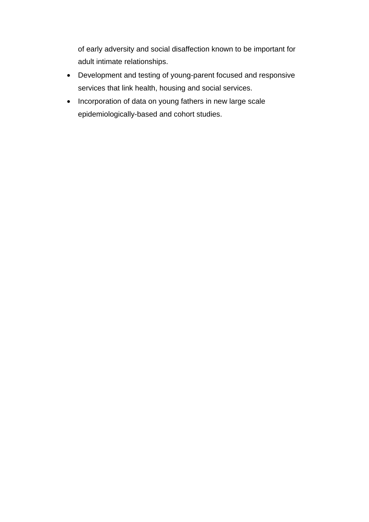of early adversity and social disaffection known to be important for adult intimate relationships.

- Development and testing of young-parent focused and responsive services that link health, housing and social services.
- Incorporation of data on young fathers in new large scale epidemiologically-based and cohort studies.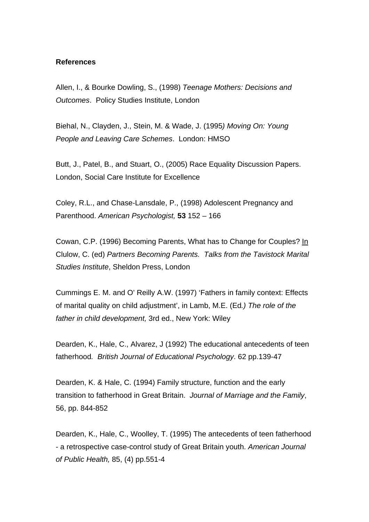#### **References**

Allen, I., & Bourke Dowling, S., (1998) *Teenage Mothers: Decisions and Outcomes*. Policy Studies Institute, London

Biehal, N., Clayden, J., Stein, M. & Wade, J. (1995*) Moving On: Young People and Leaving Care Schemes*. London: HMSO

Butt, J., Patel, B., and Stuart, O., (2005) Race Equality Discussion Papers. London, Social Care Institute for Excellence

Coley, R.L., and Chase-Lansdale, P., (1998) Adolescent Pregnancy and Parenthood. *American Psychologist,* **53** 152 – 166

Cowan, C.P. (1996) Becoming Parents, What has to Change for Couples? In Clulow, C. (ed) *Partners Becoming Parents. Talks from the Tavistock Marital Studies Institute*, Sheldon Press, London

Cummings E. M. and O' Reilly A.W. (1997) 'Fathers in family context: Effects of marital quality on child adjustment', in Lamb, M.E. (Ed*.) The role of the father in child development,* 3rd ed., New York: Wiley

Dearden, K., Hale, C., Alvarez, J (1992) The educational antecedents of teen fatherhood*. British Journal of Educational Psychology*. 62 pp.139-47

Dearden, K. & Hale, C. (1994) Family structure, function and the early transition to fatherhood in Great Britain. *Journal of Marriage and the Family*, 56, pp. 844-852

Dearden, K., Hale, C., Woolley, T. (1995) The antecedents of teen fatherhood - a retrospective case-control study of Great Britain youth. *American Journal of Public Health,* 85, (4) pp.551-4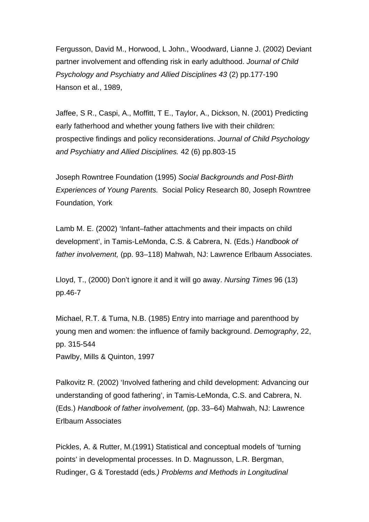Fergusson, David M., Horwood, L John., Woodward, Lianne J. (2002) Deviant partner involvement and offending risk in early adulthood. *Journal of Child Psychology and Psychiatry and Allied Disciplines 43* (2) pp.177-190 Hanson et al., 1989,

Jaffee, S R., Caspi, A., Moffitt, T E., Taylor, A., Dickson, N. (2001) Predicting early fatherhood and whether young fathers live with their children: prospective findings and policy reconsiderations. *Journal of Child Psychology and Psychiatry and Allied Disciplines.* 42 (6) pp.803-15

Joseph Rowntree Foundation (1995) *Social Backgrounds and Post-Birth Experiences of Young Parents.* Social Policy Research 80, Joseph Rowntree Foundation, York

Lamb M. E. (2002) 'Infant–father attachments and their impacts on child development', in Tamis-LeMonda, C.S. & Cabrera, N. (Eds.) *Handbook of father involvement,* (pp. 93–118) Mahwah, NJ: Lawrence Erlbaum Associates.

Lloyd, T., (2000) Don't ignore it and it will go away. *Nursing Times* 96 (13) pp.46-7

Michael, R.T. & Tuma, N.B. (1985) Entry into marriage and parenthood by young men and women: the influence of family background. *Demography*, 22, pp. 315-544 Pawlby, Mills & Quinton, 1997

Palkovitz R. (2002) 'Involved fathering and child development: Advancing our understanding of good fathering', in Tamis-LeMonda, C.S. and Cabrera, N. (Eds.) *Handbook of father involvement,* (pp. 33–64) Mahwah, NJ: Lawrence Erlbaum Associates

Pickles, A. & Rutter, M.(1991) Statistical and conceptual models of 'turning points' in developmental processes. In D. Magnusson, L.R. Bergman, Rudinger, G & Torestadd (eds*.) Problems and Methods in Longitudinal*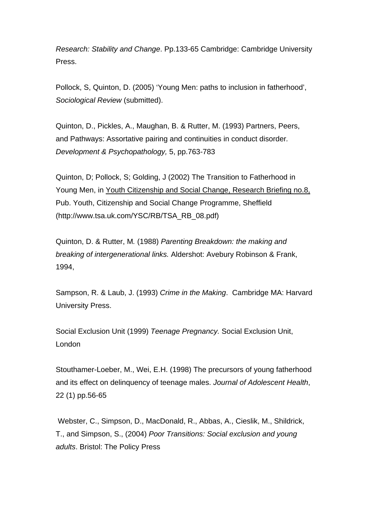*Research: Stability and Change*. Pp.133-65 Cambridge: Cambridge University Press.

Pollock, S, Quinton, D. (2005) 'Young Men: paths to inclusion in fatherhood', *Sociological Review* (submitted).

Quinton, D., Pickles, A., Maughan, B. & Rutter, M. (1993) Partners, Peers, and Pathways: Assortative pairing and continuities in conduct disorder*. Development & Psychopathology,* 5, pp.763-783

Quinton, D; Pollock, S; Golding, J (2002) The Transition to Fatherhood in Young Men, in Youth Citizenship and Social Change, Research Briefing no.8, Pub. Youth, Citizenship and Social Change Programme, Sheffield (http://www.tsa.uk.com/YSC/RB/TSA\_RB\_08.pdf)

Quinton, D. & Rutter, M*.* (1988) *Parenting Breakdown: the making and breaking of intergenerational links.* Aldershot: Avebury Robinson & Frank, 1994,

Sampson, R. & Laub, J. (1993) *Crime in the Making*. Cambridge MA: Harvard University Press.

Social Exclusion Unit (1999) *Teenage Pregnancy.* Social Exclusion Unit, London

Stouthamer-Loeber, M., Wei, E.H. (1998) The precursors of young fatherhood and its effect on delinquency of teenage males. *Journal of Adolescent Health*, 22 (1) pp.56-65

 Webster, C., Simpson, D., MacDonald, R., Abbas, A., Cieslik, M., Shildrick, T., and Simpson, S., (2004) *Poor Transitions: Social exclusion and young adults*. Bristol: The Policy Press